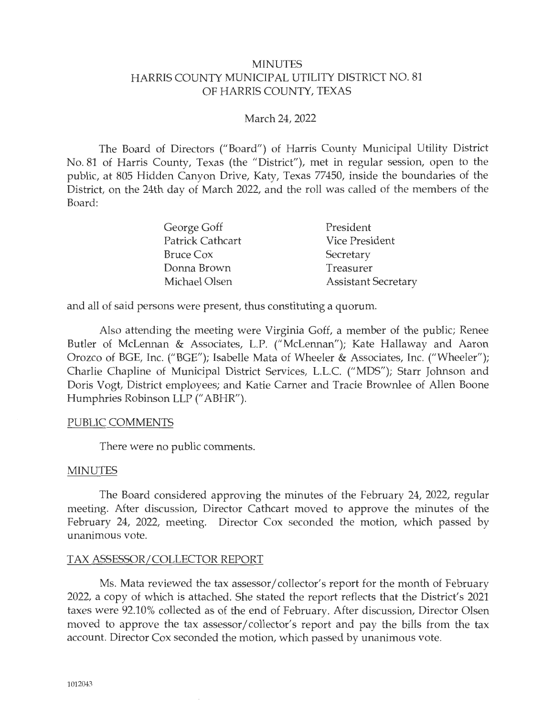#### MINUTES HARRIS COUNTY MUNICIPAL UTILITY DISTRICT NO. 81 OF HARRIS COUNTY, TEXAS

#### March 24, 2022

The Board of Directors ("Board") of Harris County Municipal Utility District No. 81 of Harris County, Texas (the "District"), met in regular session, open to the public, at 805 Hidden Canyon Drive, Katy, Texas 77450, inside the boundaries of the District, on the 24th day of March 2022, and the roll was called of the members of the Board:

| George Goff      | President                  |
|------------------|----------------------------|
| Patrick Cathcart | Vice President             |
| Bruce Cox        | Secretary                  |
| Donna Brown      | Treasurer                  |
| Michael Olsen    | <b>Assistant Secretary</b> |

and all of said persons were present, thus constituting a quorum.

Also attending the meeting were Virginia Goff, a member of the public; Renee Butler of McLennan & Associates, L.P. ("McLennan"); Kate Hallaway and Aaron Orozco of BGE, Inc. ("BGE"); Isabelle Mata of Wheeler & Associates, Inc. ("Wheeler"); Charlie Chapline of Municipal District Services, L.L.C. ("MDS" ); Starr Johnson and Doris Vogt, District employees; and Katie Carner and Tracie Brownlee of Allen Boone Humphries Robinson LLP (" ABHR").

#### PUBLIC COMMENTS

There were no public comments.

#### MINUTES

The Board considered approving the minutes of the February 24, 2022, regular meeting. After discussion, Director Cathcart moved to approve the minutes of the February 24, 2022, meeting. Director Cox seconded the motion, which passed by unanimous vote.

#### TAX ASSESSOR/ COLLECTOR REPORT

Ms. Mata reviewed the tax assessor/ collector's report for the month of February 2022, a copy of which is attached. She stated the report reflects that the District's 2021 taxes were 92.10% collected as of the end of February. After discussion, Director Olsen moved to approve the tax assessor/collector's report and pay the bills from the tax account. Director Cox seconded the motion, which passed by unanimous vote.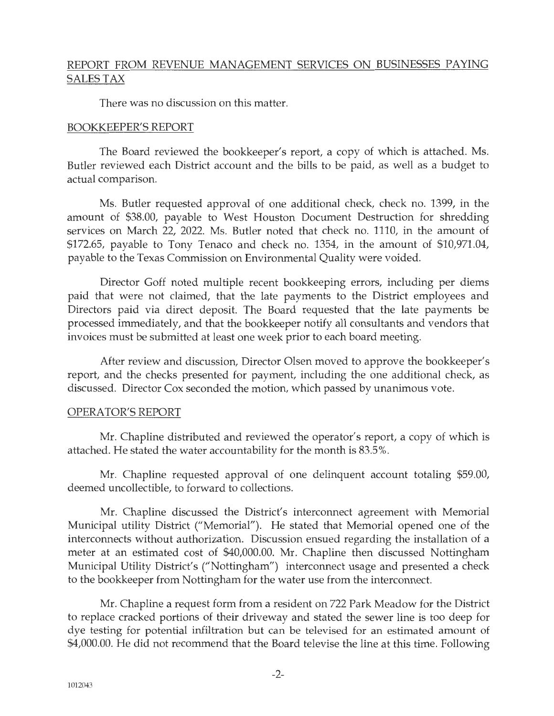## REPORT FROM REVENUE MANAGEMENT SERVICES ON BUSINESSES PAYING SALES TAX

There was no discussion on this matter.

### BOOKKEEPER'S REPORT

The Board reviewed the bookkeeper's report, a copy of which is attached. Ms. Butler reviewed each District account and the bills to be paid, as well as a budget to actual comparison.

Ms. Butler requested approval of one additional check, check no. 1399, in the amount of \$38.00, payable to West Houston Document Destruction for shredding services on March 22, 2022. Ms. Butler noted that check no. 1110, in the amount of \$172.65, payable to Tony Tenaco and check no. 1354, in the amount of \$10,971.04, payable to the Texas Commission on Environmental Quality were voided.

Director Goff noted multiple recent bookkeeping errors, including per diems paid that were not claimed, that the late payments to the District employees and Directors paid via direct deposit. The Board requested that the late payments be processed immediately, and that the bookkeeper notify all consultants and vendors that invoices must be submitted at least one week prior to each board meeting.

After review and discussion, Director Olsen moved to approve the bookkeeper's report, and the checks presented for payment, including the one additional check, as discussed. Director Cox seconded the motion, which passed by unanimous vote.

#### OPERATOR'S REPORT

Mr. Chapline distributed and reviewed the operator's report, a copy of which is attached. He stated the water accountability for the month is 83.5%.

Mr. Chapline requested approval of one delinquent account totaling \$59.00, deemed uncollectible, to forward to collections.

Mr. Chapline discussed the District's interconnect agreement with Memorial Municipal utility District ("Memorial"). He stated that Memorial opened one of the interconnects without authorization. Discussion ensued regarding the installation of a meter at an estimated cost of \$40,000.00. Mr. Chapline then discussed Nottingham Municipal Utility District's ("Nottingham") interconnect usage and presented a check to the bookkeeper from Nottingham for the water use from the interconnect.

Mr. Chapline a request form from a resident on 722 Park Meadow for the District to replace cracked portions of their driveway and stated the sewer line is too deep for dye testing for potential infiltration but can be televised for an estimated amount of \$4,000.00. He did not recommend that the Board televise the line at this time. Following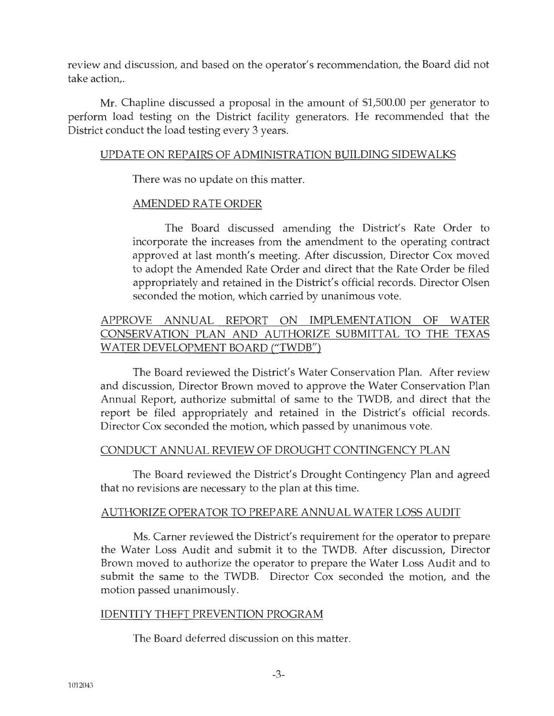review and discussion, and based on the operator's recommendation, the Board did not take action,.

Mr. Chapline discussed a proposal in the amount of \$1,500.00 per generator to perform load testing on the District facility generators. He recommended that the District conduct the load testing every 3 years.

#### UPDATE ON REPAIRS OF ADMINISTRATION BUILDING SIDEWALKS

There was no update on this matter.

## AMENDED RATE ORDER

The Board discussed amending the District's Rate Order to incorporate the increases from the amendment to the operating contract approved at last month's meeting. After discussion, Director Cox moved to adopt the Amended Rate Order and direct that the Rate Order be filed appropriately and retained in the District's official records. Director Olsen seconded the motion, which carried by unanimous vote.

# APPROVE ANNUAL REPORT ON IMPLEMENTATION OF WATER CONSERVATION PLAN AND AUTHORIZE SUBMITTAL TO THE TEXAS WATER DEVELOPMENT BOARD ("TWDB")

The Board reviewed the District's Water Conservation Plan. After review and discussion, Director Brown moved to approve the Water Conservation Plan Annual Report, authorize submittal of same to the TWDB, and direct that the report be filed appropriately and retained in the District's official records. Director Cox seconded the motion, which passed by unanimous vote.

#### CONDUCT ANNUAL REVIEW OF DROUGHT CONTINGENCY PLAN

The Board reviewed the District's Drought Contingency Plan and agreed that no revisions are necessary to the plan at this time.

## AUTHORIZE OPERATOR TO PREPARE ANNUAL WATER LOSS AUDIT

Ms. Carner reviewed the District's requirement for the operator to prepare the Water Loss Audit and submit it to the TWDB. After discussion, Director Brown moved to authorize the operator to prepare the Water Loss Audit and to submit the same to the TWDB. Director Cox seconded the motion, and the motion passed unanimously.

## IDENTITY THEFT PREVENTION PROGRAM

The Board deferred discussion on this matter.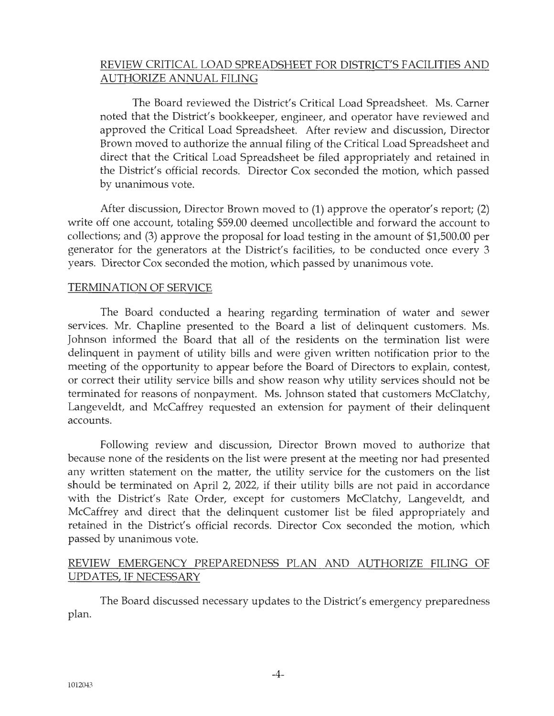# REVIEW CRITICAL LOAD SPREADSHEET FOR DISTRICT'S FACILITIES AND AUTHORIZE ANNUAL FILING

The Board reviewed the District's Critical Load Spreadsheet. Ms. Carner noted that the District's bookkeeper, engineer, and operator have reviewed and approved the Critical Load Spreadsheet. After review and discussion, Director Brown moved to authorize the annual filing of the Critical Load Spreadsheet and direct that the Critical Load Spreadsheet be filed appropriately and retained in the District's official records. Director Cox seconded the motion, which passed by unanimous vote.

After discussion, Director Brown moved to (1) approve the operator's report; (2) write off one account, totaling \$59.00 deemed uncollectible and forward the account to collections; and (3) approve the proposal for load testing in the amount of \$1,500.00 per generator for the generators at the District's facilities, to be conducted once every 3 years. Director Cox seconded the motion, which passed by unanimous vote.

### TERMINATION OF SERVICE

The Board conducted a hearing regarding termination of water and sewer services. Mr. Chapline presented to the Board a list of delinquent customers. Ms. Johnson informed the Board that all of the residents on the termination list were delinquent in payment of utility bills and were given written notification prior to the meeting of the opportunity to appear before the Board of Directors to explain, contest, or correct their utility service bills and show reason why utility services should not be terminated for reasons of nonpayment. Ms. Johnson stated that customers McClatchy, Langeveldt, and McCaffrey requested an extension for payment of their delinquent accounts.

Following review and discussion, Director Brown moved to authorize that because none of the residents on the list were present at the meeting nor had presented any written statement on the matter, the utility service for the customers on the list should be terminated on April 2, 2022, if their utility bills are not paid in accordance with the District's Rate Order, except for customers McClatchy, Langeveldt, and McCaffrey and direct that the delinquent customer list be filed appropriately and retained in the District's official records. Director Cox seconded the motion, which passed by unanimous vote.

# REVIEW EMERGENCY PREPAREDNESS PLAN AND AUTHORIZE FILING OF UPDATES, IF NECESSARY

The Board discussed necessary updates to the District's emergency preparedness plan.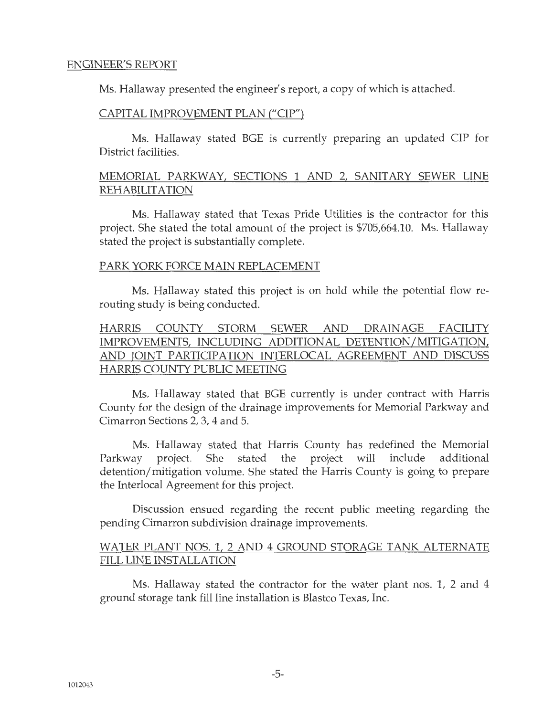#### ENGINEER'S REPORT

Ms. Hallaway presented the engineer's report, a copy of which is attached.

### CAPITAL IMPROVEMENT PLAN ("CIP")

Ms. Hallaway stated BGE is currently preparing an updated CIP for District facilities.

## MEMORIAL PARKWAY, SECTIONS 1 AND 2, SANITARY SEWER LINE REHABILITATION

Ms. Hallaway stated that Texas Pride Utilities is the contractor for this project. She stated the total amount of the project is \$705,664.10. Ms. Hallaway stated the project is substantially complete.

#### PARK YORK FORCE MAIN REPLACEMENT

Ms. Hallaway stated this project is on hold while the potential flow rerouting study is being conducted.

# HARRIS COUNTY STORM SEWER AND DRAINAGE FACILITY IMPROVEMENTS, INCLUDING ADDITIONAL DETENTION/MITIGATION, AND JOINT PARTICIPATION INTERLOCAL AGREEMENT AND DISCUSS HARRIS COUNTY PUBLIC MEETING

Ms. Hallaway stated that BGE currently is under contract with Harris County for the design of the drainage improvements for Memorial Parkway and Cimarron Sections 2, 3, 4 and 5.

Ms. Hallaway stated that Harris County has redefined the Memorial Parkway project. She stated the project will include additional detention/ mitigation volume. She stated the Harris County is going to prepare the Interlocal Agreement for this project.

Discussion ensued regarding the recent public meeting regarding the pending Cimarron subdivision drainage improvements.

### WATER PLANT NOS. 1, 2 AND 4 GROUND STORAGE TANK ALTERNATE FILL LINE INSTALLATION

Ms. Hallaway stated the contractor for the water plant nos. 1, 2 and 4 ground storage tank fill line installation is Blastco Texas, Inc.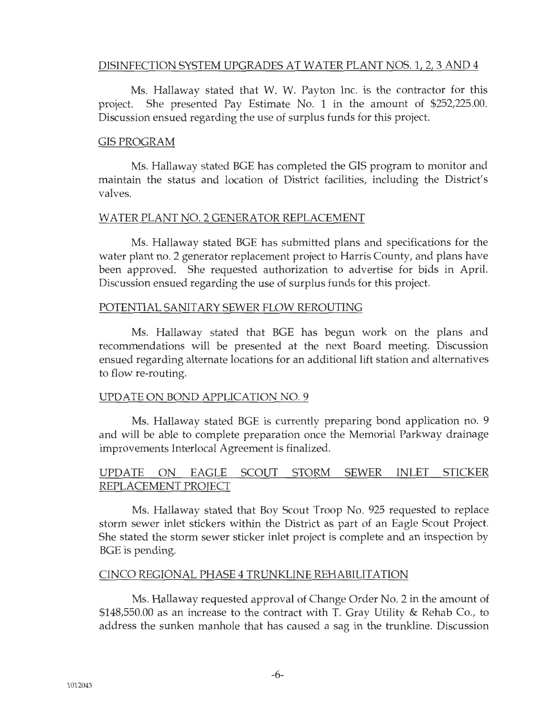## DISINFECTION SYSTEM UPGRADES AT WATER PLANT NOS. 1, 2, 3 AND 4

Ms. Hallaway stated that W. W. Payton Inc. is the contractor for this project. She presented Pay Estimate No. 1 in the amount of \$252,225.00. Discussion ensued regarding the use of surplus funds for this project.

#### GISPROGRAM

Ms. Hallaway stated BGE has completed the GIS program to monitor and maintain the status and location of District facilities, including the District's valves.

#### WATER PLANT NO. 2 GENERATOR REPLACEMENT

Ms. Hallaway stated BGE has submitted plans and specifications for the water plant no. 2 generator replacement project to Harris County, and plans have been approved. She requested authorization to advertise for bids in April. Discussion ensued regarding the use of surplus funds for this project.

#### POTENTIAL SANITARY SEWER FLOW REROUTING

Ms. Hallaway stated that BGE has begun work on the plans and recommendations will be presented at the next Board meeting. Discussion ensued regarding alternate locations for an additional lift station and alternatives to flow re-routing.

#### UPDATE ON BOND APPLICATION NO. 9

Ms. Hallaway stated BGE is currently preparing bond application no. 9 and will be able to complete preparation once the Memorial Parkway drainage improvements Interlocal Agreement is finalized.

## UPDATE ON EAGLE SCOUT STORM SEWER INLET STICKER REPLACEMENT PROJECT

Ms. Hallaway stated that Boy Scout Troop No. 925 requested to replace storm sewer inlet stickers within the District as part of an Eagle Scout Project. She stated the storm sewer sticker inlet project is complete and an inspection by BGE is pending.

#### CINCO REGIONAL PHASE 4 TRUNKLINE REHABILITATION

Ms. Hallaway requested approval of Change Order No. 2 in the amount of \$148,550.00 as an increase to the contract with T. Gray Utility & Rehab Co., to address the sunken manhole that has caused a sag in the trunkline. Discussion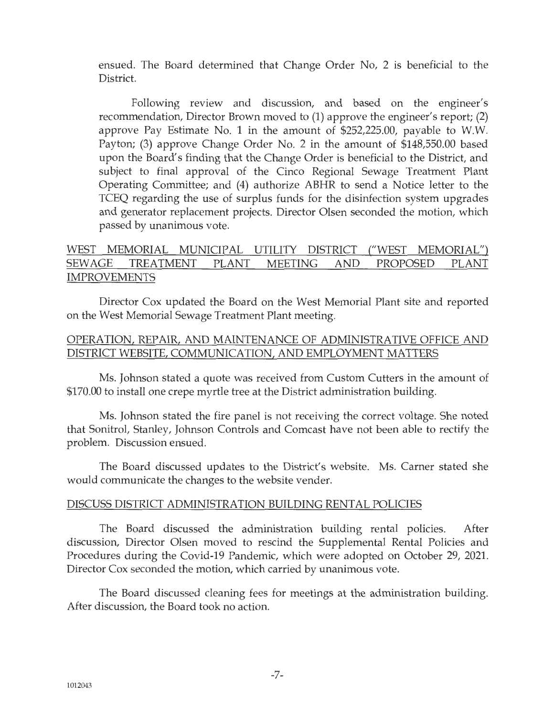ensued. The Board determined that Change Order No, 2 is beneficial to the District.

Following review and discussion, and based on the engineer's recommendation, Director Brown moved to (1) approve the engineer's report; (2) approve Pay Estimate No. 1 in the amount of \$252,225.00, payable to W.W. Payton; (3) approve Change Order No. 2 in the amount of \$148,550.00 based upon the Board's finding that the Change Order is beneficial to the District, and subject to final approval of the Cinco Regional Sewage Treatment Plant Operating Committee; and (4) authorize ABHR to send a Notice letter to the TCEQ regarding the use of surplus funds for the disinfection system upgrades and generator replacement projects. Director Olsen seconded the motion, which passed by unanimous vote.

## WEST MEMORIAL MUNICIPAL UTILITY DISTRICT ("WEST MEMORIAL") SEWAGE TREATMENT PLANT MEETING AND PROPOSED PLANT IMPROVEMENTS

Director Cox updated the Board on the West Memorial Plant site and reported on the West Memorial Sewage Treatment Plant meeting.

### OPERATION, REPAIR, AND MAINTENANCE OF ADMINISTRATIVE OFFICE AND DISTRICT WEBSITE, COMMUNICATION, AND EMPLOYMENT MATTERS

Ms. Johnson stated a quote was received from Custom Cutters in the amount of \$170.00 to install one crepe myrtle tree at the District administration building.

Ms. Johnson stated the fire panel is not receiving the correct voltage. She noted that Sonitrol, Stanley, Johnson Controls and Comcast have not been able to rectify the problem. Discussion ensued.

The Board discussed updates to the District's website. Ms. Carner stated she would communicate the changes to the website vender.

#### DISCUSS DISTRICT ADMINISTRATION BUILDING RENTAL POLICIES

The Board discussed the administration building rental policies. After discussion, Director Olsen moved to rescind the Supplemental Rental Policies and Procedures during the Covid-19 Pandemic, which were adopted on October 29, 2021. Director Cox seconded the motion, which carried by unanimous vote.

The Board discussed cleaning fees for meetings at the administration building. After discussion, the Board took no action.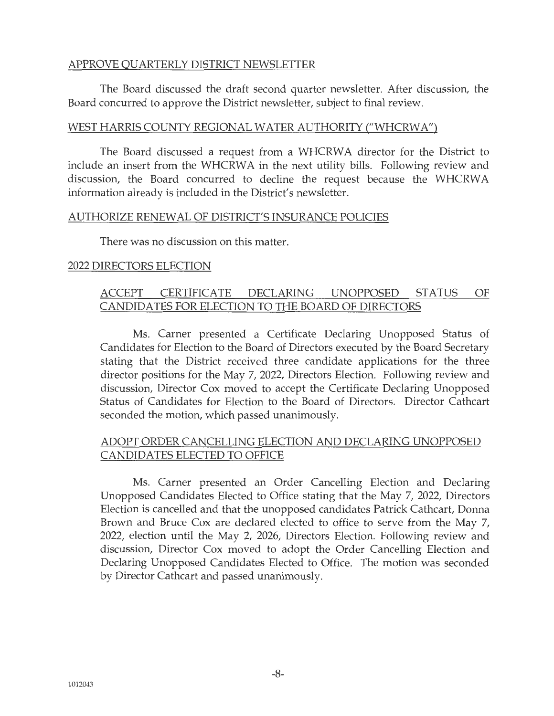### APPROVE QUARTERLY DISTRICT NEWSLETTER

The Board discussed the draft second quarter newsletter. After discussion, the Board concurred to approve the District newsletter, subject to final review.

### WEST HARRIS COUNTY REGIONAL WATER AUTHORITY ("WHCRWA")

The Board discussed a request from a WHCRWA director for the District to include an insert from the WHCRWA in the next utility bills. Following review and discussion, the Board concurred to decline the request because the WHCRW A information already is included in the District's newsletter.

#### AUTHORIZE RENEWAL OF DISTRICT'S INSURANCE POLICIES

There was no discussion on this matter.

### 2022 DIRECTORS ELECTION

# ACCEPT CERTIFICATE DECLARING UNOPPOSED STATUS OF CANDIDATES FOR ELECTION TO THE BOARD OF DIRECTORS

Ms. Carner presented a Certificate Declaring Unopposed Status of Candidates for Election to the Board of Directors executed by the Board Secretary stating that the District received three candidate applications for the three director positions for the May 7, 2022, Directors Election. Following review and discussion, Director Cox moved to accept the Certificate Declaring Unopposed Status of Candidates for Election to the Board of Directors. Director Cathcart seconded the motion, which passed unanimously.

## ADOPT ORDER CANCELLING ELECTION AND DECLARING UNOPPOSED CANDIDATES ELECTED TO OFFICE

Ms. Carner presented an Order Cancelling Election and Declaring Unopposed Candidates Elected to Office stating that the May 7, 2022, Directors Election is cancelled and that the unopposed candidates Patrick Cathcart, Donna Brown and Bruce Cox are declared elected to office to serve from the May 7, 2022, election until the May 2, 2026, Directors Election. Following review and discussion, Director Cox moved to adopt the Order Cancelling Election and Declaring Unopposed Candidates Elected to Office. The motion was seconded by Director Cathcart and passed unanimously.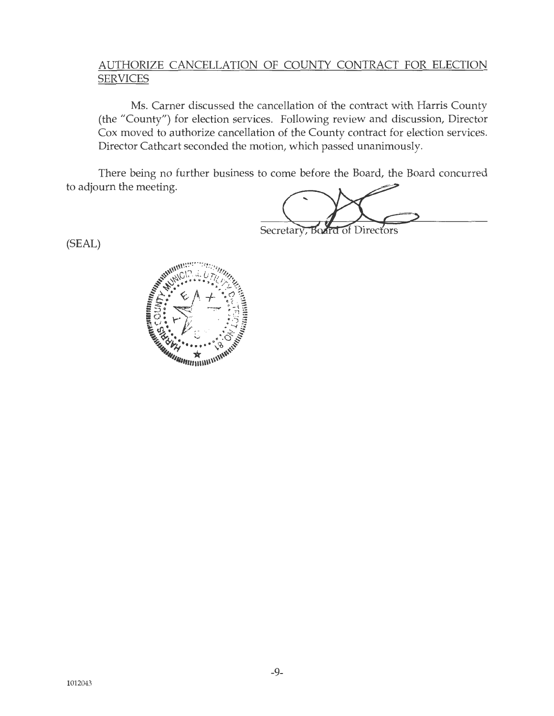## AUTHORIZE CANCELLATION OF COUNTY CONTRACT FOR ELECTION SERVICES

Ms. Carner discussed the cancellation of the contract with Harris County (the "County") for election services. Following review and discussion, Director Cox moved to authorize cancellation of the County contract for election services. Director Cathcart seconded the motion, which passed unanimously.

There being no further business to come before the Board, the Board concurred to adjourn the meeting.

**Board of Directors** Secretary,

(SEAL)